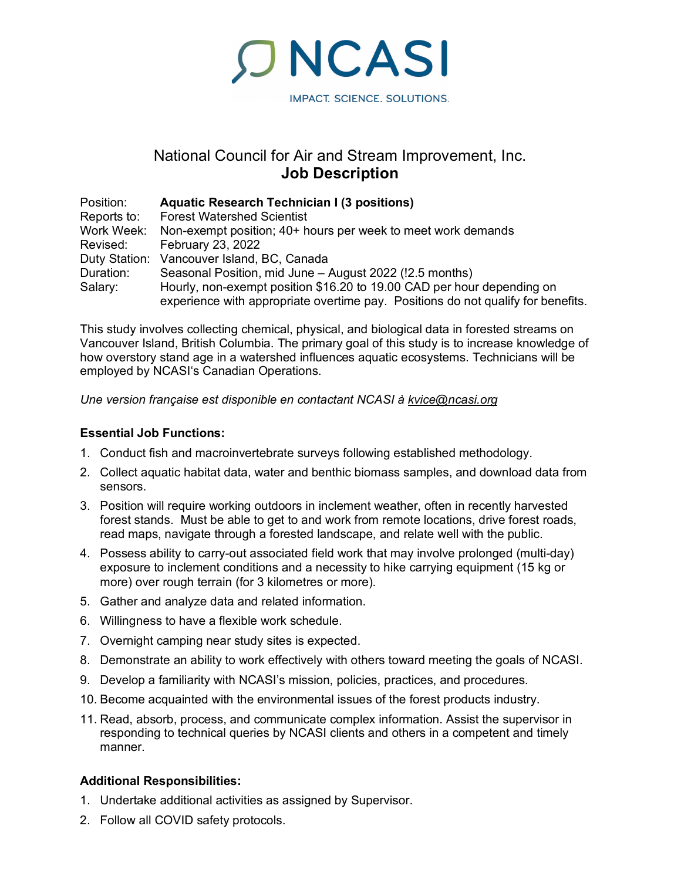IMPACT. SCIENCE. SOLUTIONS.

# National Council for Air and Stream Improvement, Inc. **Job Description**

**ONCASI** 

| Position:   | <b>Aquatic Research Technician I (3 positions)</b>                               |
|-------------|----------------------------------------------------------------------------------|
| Reports to: | <b>Forest Watershed Scientist</b>                                                |
| Work Week:  | Non-exempt position; 40+ hours per week to meet work demands                     |
| Revised:    | <b>February 23, 2022</b>                                                         |
|             | Duty Station: Vancouver Island, BC, Canada                                       |
| Duration:   | Seasonal Position, mid June - August 2022 (!2.5 months)                          |
| Salary:     | Hourly, non-exempt position \$16.20 to 19.00 CAD per hour depending on           |
|             | experience with appropriate overtime pay. Positions do not qualify for benefits. |

This study involves collecting chemical, physical, and biological data in forested streams on Vancouver Island, British Columbia. The primary goal of this study is to increase knowledge of how overstory stand age in a watershed influences aquatic ecosystems. Technicians will be employed by NCASI's Canadian Operations.

*Une version française est disponible en contactant NCASI à [kvice@ncasi.org](mailto:kvice@ncasi.org)*

## **Essential Job Functions:**

- 1. Conduct fish and macroinvertebrate surveys following established methodology.
- 2. Collect aquatic habitat data, water and benthic biomass samples, and download data from sensors.
- 3. Position will require working outdoors in inclement weather, often in recently harvested forest stands. Must be able to get to and work from remote locations, drive forest roads, read maps, navigate through a forested landscape, and relate well with the public.
- 4. Possess ability to carry-out associated field work that may involve prolonged (multi-day) exposure to inclement conditions and a necessity to hike carrying equipment (15 kg or more) over rough terrain (for 3 kilometres or more).
- 5. Gather and analyze data and related information.
- 6. Willingness to have a flexible work schedule.
- 7. Overnight camping near study sites is expected.
- 8. Demonstrate an ability to work effectively with others toward meeting the goals of NCASI.
- 9. Develop a familiarity with NCASI's mission, policies, practices, and procedures.
- 10. Become acquainted with the environmental issues of the forest products industry.
- 11. Read, absorb, process, and communicate complex information. Assist the supervisor in responding to technical queries by NCASI clients and others in a competent and timely manner.

### **Additional Responsibilities:**

- 1. Undertake additional activities as assigned by Supervisor.
- 2. Follow all COVID safety protocols.